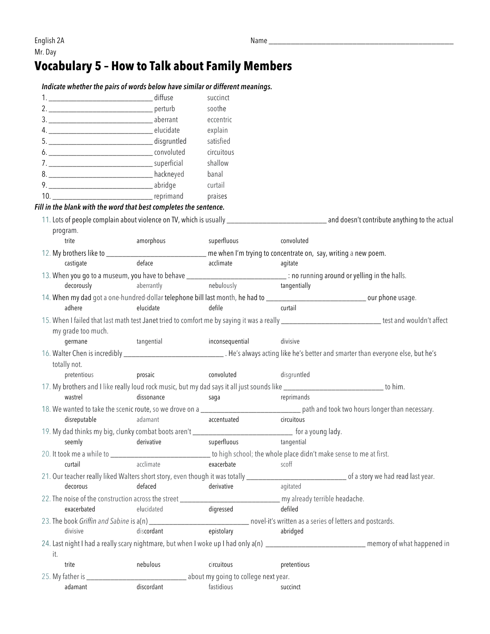## **Vocabulary 5 – How to Talk about Family Members**

|  | Indicate whether the pairs of words below have similar or different meanings.                                                                   |                                                                                                 |                 |              |                                                                                                                                                       |  |
|--|-------------------------------------------------------------------------------------------------------------------------------------------------|-------------------------------------------------------------------------------------------------|-----------------|--------------|-------------------------------------------------------------------------------------------------------------------------------------------------------|--|
|  |                                                                                                                                                 |                                                                                                 | succinct        |              |                                                                                                                                                       |  |
|  |                                                                                                                                                 |                                                                                                 | soothe          |              |                                                                                                                                                       |  |
|  |                                                                                                                                                 |                                                                                                 | eccentric       |              |                                                                                                                                                       |  |
|  |                                                                                                                                                 |                                                                                                 |                 |              |                                                                                                                                                       |  |
|  |                                                                                                                                                 |                                                                                                 | satisfied       |              |                                                                                                                                                       |  |
|  |                                                                                                                                                 |                                                                                                 | circuitous      |              |                                                                                                                                                       |  |
|  |                                                                                                                                                 |                                                                                                 | shallow         |              |                                                                                                                                                       |  |
|  |                                                                                                                                                 |                                                                                                 | banal           |              |                                                                                                                                                       |  |
|  |                                                                                                                                                 |                                                                                                 |                 |              |                                                                                                                                                       |  |
|  |                                                                                                                                                 |                                                                                                 |                 |              |                                                                                                                                                       |  |
|  | Fill in the blank with the word that best completes the sentence.                                                                               |                                                                                                 |                 |              |                                                                                                                                                       |  |
|  |                                                                                                                                                 |                                                                                                 |                 |              |                                                                                                                                                       |  |
|  | program.                                                                                                                                        |                                                                                                 |                 |              |                                                                                                                                                       |  |
|  | trite                                                                                                                                           | amorphous                                                                                       | superfluous     | convoluted   |                                                                                                                                                       |  |
|  | 12. My brothers like to ____________________________ me when I'm trying to concentrate on, say, writing a new poem.                             |                                                                                                 |                 |              |                                                                                                                                                       |  |
|  | castigate                                                                                                                                       | deface                                                                                          | acclimate       | agitate      |                                                                                                                                                       |  |
|  |                                                                                                                                                 |                                                                                                 |                 |              |                                                                                                                                                       |  |
|  | 13. When you go to a museum, you have to behave _________________________________ : no running around or yelling in the halls.                  |                                                                                                 |                 |              |                                                                                                                                                       |  |
|  | decorously                                                                                                                                      | aberrantly                                                                                      | nebulously      | tangentially |                                                                                                                                                       |  |
|  |                                                                                                                                                 |                                                                                                 |                 |              |                                                                                                                                                       |  |
|  | adhere                                                                                                                                          | elucidate                                                                                       | defile          | curtail      |                                                                                                                                                       |  |
|  |                                                                                                                                                 |                                                                                                 |                 |              | 15. When I failed that last math test Janet tried to comfort me by saying it was a really __________________________________ test and wouldn't affect |  |
|  | my grade too much.                                                                                                                              |                                                                                                 |                 |              |                                                                                                                                                       |  |
|  | tangential<br>germane                                                                                                                           |                                                                                                 | inconsequential | divisive     |                                                                                                                                                       |  |
|  | 16. Walter Chen is incredibly ___________________________________. He's always acting like he's better and smarter than everyone else, but he's |                                                                                                 |                 |              |                                                                                                                                                       |  |
|  | totally not.                                                                                                                                    |                                                                                                 |                 |              |                                                                                                                                                       |  |
|  | pretentious                                                                                                                                     | prosaic                                                                                         | convoluted      | disgruntled  |                                                                                                                                                       |  |
|  | 17. My brothers and I like really loud rock music, but my dad says it all just sounds like ______________________________ to him.               |                                                                                                 |                 |              |                                                                                                                                                       |  |
|  | wastrel                                                                                                                                         | dissonance                                                                                      | saga            | reprimands   |                                                                                                                                                       |  |
|  |                                                                                                                                                 |                                                                                                 |                 |              |                                                                                                                                                       |  |
|  | disreputable                                                                                                                                    | adamant                                                                                         | accentuated     | circuitous   |                                                                                                                                                       |  |
|  | 19. My dad thinks my big, clunky combat boots aren't ________________________________ for a young lady.                                         |                                                                                                 |                 |              |                                                                                                                                                       |  |
|  | seemly derivative                                                                                                                               |                                                                                                 | superfluous     | tangential   |                                                                                                                                                       |  |
|  |                                                                                                                                                 |                                                                                                 |                 |              |                                                                                                                                                       |  |
|  | curtail                                                                                                                                         | acclimate                                                                                       | exacerbate      | scoff        |                                                                                                                                                       |  |
|  |                                                                                                                                                 |                                                                                                 |                 |              |                                                                                                                                                       |  |
|  | decorous                                                                                                                                        | defaced                                                                                         | derivative      | agitated     |                                                                                                                                                       |  |
|  |                                                                                                                                                 |                                                                                                 |                 |              |                                                                                                                                                       |  |
|  | exacerbated                                                                                                                                     | elucidated                                                                                      | digressed       | defiled      |                                                                                                                                                       |  |
|  |                                                                                                                                                 |                                                                                                 |                 |              |                                                                                                                                                       |  |
|  | 23. The book Griffin and Sabine is a(n) _______________________________ novel-it's written as a series of letters and postcards.                |                                                                                                 | epistolary      |              |                                                                                                                                                       |  |
|  | divisive                                                                                                                                        | discordant                                                                                      |                 | abridged     |                                                                                                                                                       |  |
|  |                                                                                                                                                 |                                                                                                 |                 |              | 24. Last night I had a really scary nightmare, but when I woke up I had only a(n) _______________________________ memory of what happened in          |  |
|  | it.                                                                                                                                             |                                                                                                 |                 |              |                                                                                                                                                       |  |
|  | trite                                                                                                                                           | nebulous                                                                                        | circuitous      | pretentious  |                                                                                                                                                       |  |
|  |                                                                                                                                                 | <b>No. 2016</b> The Union Section 2016 of the Union Section 2016 of the Union Concentrial Dent. |                 |              |                                                                                                                                                       |  |
|  | adamant                                                                                                                                         | discordant                                                                                      | fastidious      | succinct     |                                                                                                                                                       |  |